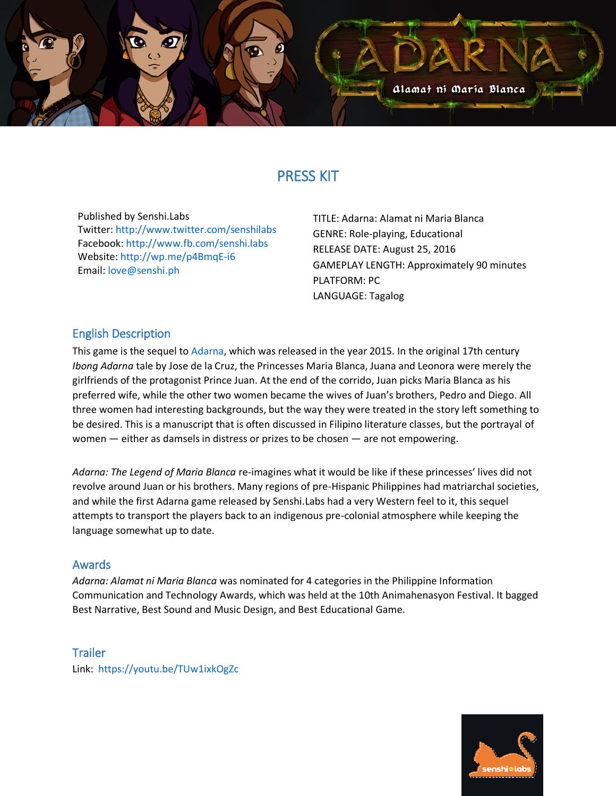

# PRESS KIT

Published by Senshi.Labs Twitter:<http://www.twitter.com/senshilabs> Facebook:<http://www.fb.com/senshi.labs> Website: <http://wp.me/p4BmqE-i6> Email: [love@senshi.ph](mailto:love@senshi.ph)

TITLE: Adarna: Alamat ni Maria Blanca GENRE: Role-playing, Educational RELEASE DATE: August 25, 2016 GAMEPLAY LENGTH: Approximately 90 minutes PLATFORM: PC LANGUAGE: Tagalog

## English Description

This game is the sequel to [Adarna,](http://senshi.ph/2015/03/adarna/) which was released in the year 2015. In the original 17th century *Ibong Adarna* tale by Jose de la Cruz, the Princesses Maria Blanca, Juana and Leonora were merely the girlfriends of the protagonist Prince Juan. At the end of the corrido, Juan picks Maria Blanca as his preferred wife, while the other two women became the wives of Juan's brothers, Pedro and Diego. All three women had interesting backgrounds, but the way they were treated in the story left something to be desired. This is a manuscript that is often discussed in Filipino literature classes, but the portrayal of women — either as damsels in distress or prizes to be chosen — are not empowering.

*Adarna: The Legend of Maria Blanca* re-imagines what it would be like if these princesses' lives did not revolve around Juan or his brothers. Many regions of pre-Hispanic Philippines had matriarchal societies, and while the first Adarna game released by Senshi.Labs had a very Western feel to it, this sequel attempts to transport the players back to an indigenous pre-colonial atmosphere while keeping the language somewhat up to date.

#### Awards

*Adarna: Alamat ni Maria Blanca* was nominated for 4 categories in the Philippine Information Communication and Technology Awards, which was held at the 10th Animahenasyon Festival. It bagged Best Narrative, Best Sound and Music Design, and Best Educational Game.

#### **Trailer**

Link: <https://youtu.be/TUw1ixkOgZc>